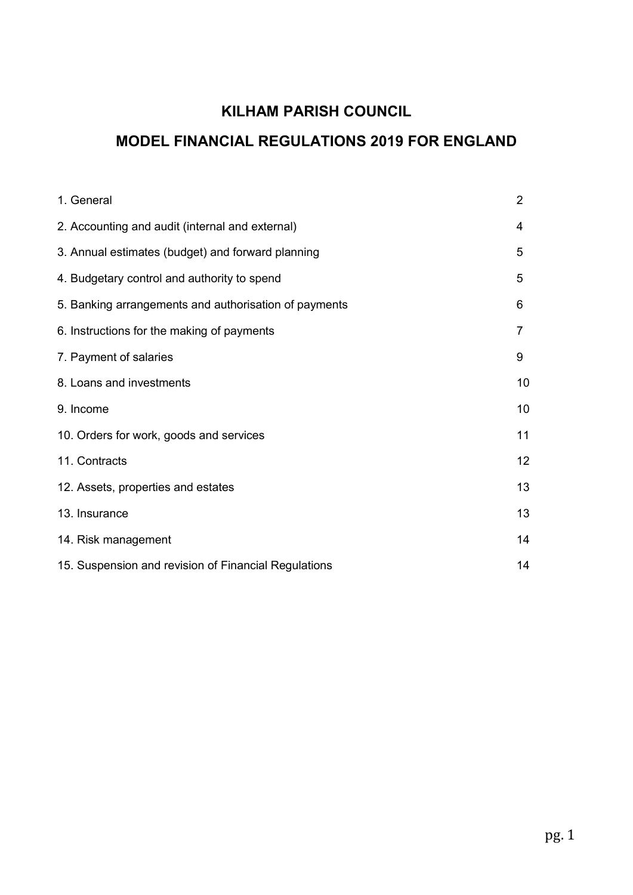## KILHAM PARISH COUNCIL

# MODEL FINANCIAL REGULATIONS 2019 FOR ENGLAND

| 1. General                                            | $\overline{2}$ |
|-------------------------------------------------------|----------------|
| 2. Accounting and audit (internal and external)       | 4              |
| 3. Annual estimates (budget) and forward planning     | 5              |
| 4. Budgetary control and authority to spend           | 5              |
| 5. Banking arrangements and authorisation of payments | 6              |
| 6. Instructions for the making of payments            | 7              |
| 7. Payment of salaries                                | 9              |
| 8. Loans and investments                              | 10             |
| 9. Income                                             | 10             |
| 10. Orders for work, goods and services               | 11             |
| 11. Contracts                                         | 12             |
| 12. Assets, properties and estates                    | 13             |
| 13. Insurance                                         | 13             |
| 14. Risk management                                   | 14             |
| 15. Suspension and revision of Financial Regulations  | 14             |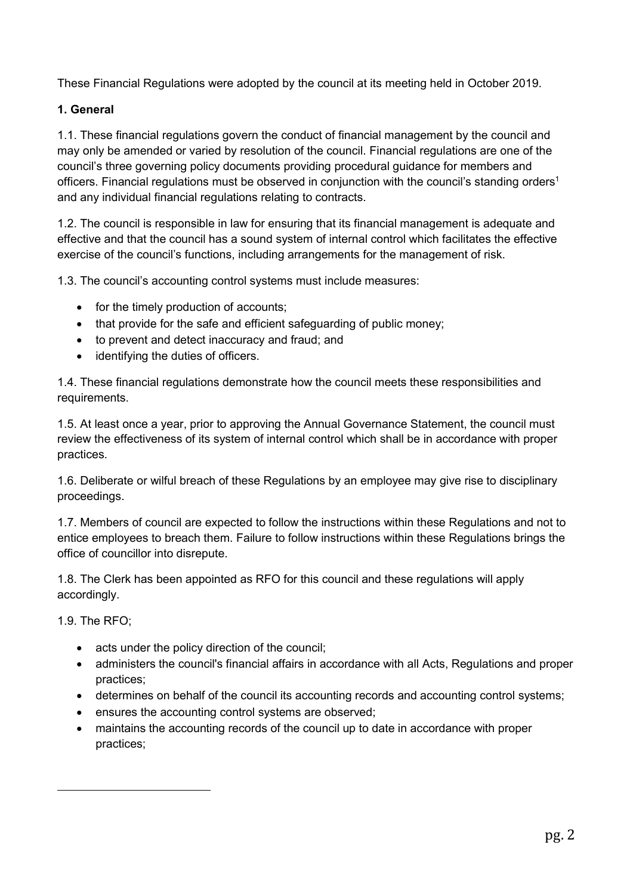These Financial Regulations were adopted by the council at its meeting held in October 2019.

## 1. General

1.1. These financial regulations govern the conduct of financial management by the council and may only be amended or varied by resolution of the council. Financial regulations are one of the council's three governing policy documents providing procedural guidance for members and officers. Financial regulations must be observed in conjunction with the council's standing orders<sup>1</sup> and any individual financial regulations relating to contracts.

1.2. The council is responsible in law for ensuring that its financial management is adequate and effective and that the council has a sound system of internal control which facilitates the effective exercise of the council's functions, including arrangements for the management of risk.

1.3. The council's accounting control systems must include measures:

- for the timely production of accounts;
- that provide for the safe and efficient safeguarding of public money;
- to prevent and detect inaccuracy and fraud; and
- identifying the duties of officers.

1.4. These financial regulations demonstrate how the council meets these responsibilities and requirements.

1.5. At least once a year, prior to approving the Annual Governance Statement, the council must review the effectiveness of its system of internal control which shall be in accordance with proper practices.

1.6. Deliberate or wilful breach of these Regulations by an employee may give rise to disciplinary proceedings.

1.7. Members of council are expected to follow the instructions within these Regulations and not to entice employees to breach them. Failure to follow instructions within these Regulations brings the office of councillor into disrepute.

1.8. The Clerk has been appointed as RFO for this council and these regulations will apply accordingly.

1.9. The RFO;

**.** 

- acts under the policy direction of the council;
- administers the council's financial affairs in accordance with all Acts, Regulations and proper practices;
- determines on behalf of the council its accounting records and accounting control systems;
- ensures the accounting control systems are observed;
- maintains the accounting records of the council up to date in accordance with proper practices;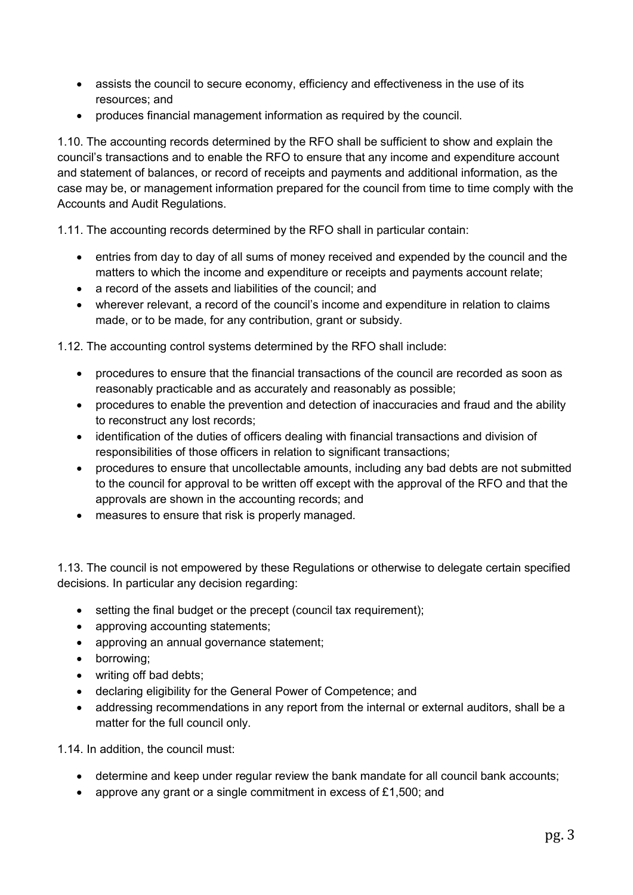- assists the council to secure economy, efficiency and effectiveness in the use of its resources; and
- produces financial management information as required by the council.

1.10. The accounting records determined by the RFO shall be sufficient to show and explain the council's transactions and to enable the RFO to ensure that any income and expenditure account and statement of balances, or record of receipts and payments and additional information, as the case may be, or management information prepared for the council from time to time comply with the Accounts and Audit Regulations.

1.11. The accounting records determined by the RFO shall in particular contain:

- entries from day to day of all sums of money received and expended by the council and the matters to which the income and expenditure or receipts and payments account relate;
- a record of the assets and liabilities of the council; and
- wherever relevant, a record of the council's income and expenditure in relation to claims made, or to be made, for any contribution, grant or subsidy.

1.12. The accounting control systems determined by the RFO shall include:

- procedures to ensure that the financial transactions of the council are recorded as soon as reasonably practicable and as accurately and reasonably as possible;
- procedures to enable the prevention and detection of inaccuracies and fraud and the ability to reconstruct any lost records;
- identification of the duties of officers dealing with financial transactions and division of responsibilities of those officers in relation to significant transactions;
- procedures to ensure that uncollectable amounts, including any bad debts are not submitted to the council for approval to be written off except with the approval of the RFO and that the approvals are shown in the accounting records; and
- measures to ensure that risk is properly managed.

1.13. The council is not empowered by these Regulations or otherwise to delegate certain specified decisions. In particular any decision regarding:

- setting the final budget or the precept (council tax requirement);
- approving accounting statements;
- approving an annual governance statement;
- borrowing:
- writing off bad debts;
- declaring eligibility for the General Power of Competence; and
- addressing recommendations in any report from the internal or external auditors, shall be a matter for the full council only.

1.14. In addition, the council must:

- determine and keep under regular review the bank mandate for all council bank accounts;
- approve any grant or a single commitment in excess of £1,500; and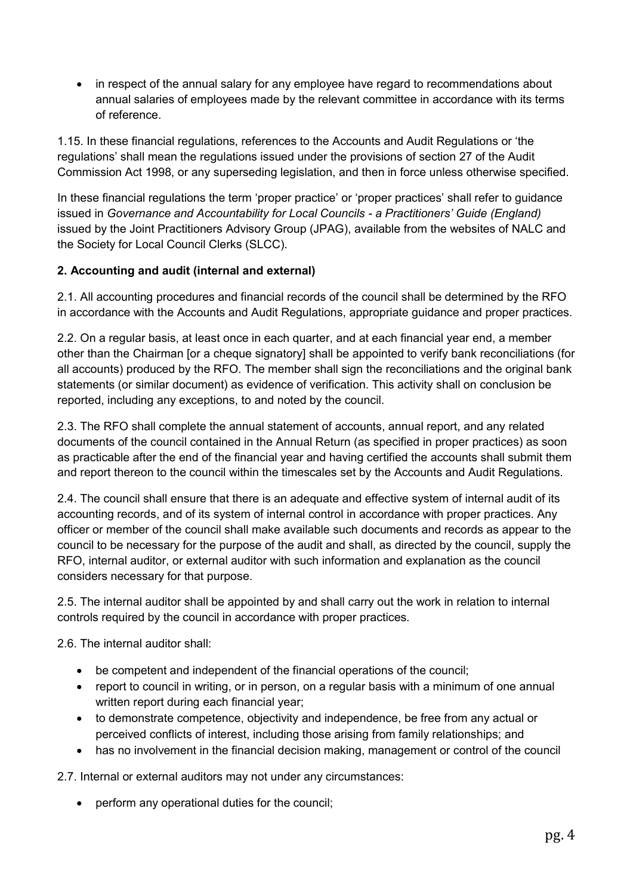• in respect of the annual salary for any employee have regard to recommendations about annual salaries of employees made by the relevant committee in accordance with its terms of reference.

1.15. In these financial regulations, references to the Accounts and Audit Regulations or 'the regulations' shall mean the regulations issued under the provisions of section 27 of the Audit Commission Act 1998, or any superseding legislation, and then in force unless otherwise specified.

In these financial regulations the term 'proper practice' or 'proper practices' shall refer to guidance issued in *Governance and Accountability for Local Councils - a Practitioners' Guide (England)* issued by the Joint Practitioners Advisory Group (JPAG), available from the websites of NALC and the Society for Local Council Clerks (SLCC).

## 2. Accounting and audit (internal and external)

2.1. All accounting procedures and financial records of the council shall be determined by the RFO in accordance with the Accounts and Audit Regulations, appropriate guidance and proper practices.

2.2. On a regular basis, at least once in each quarter, and at each financial year end, a member other than the Chairman [or a cheque signatory] shall be appointed to verify bank reconciliations (for all accounts) produced by the RFO. The member shall sign the reconciliations and the original bank statements (or similar document) as evidence of verification. This activity shall on conclusion be reported, including any exceptions, to and noted by the council.

2.3. The RFO shall complete the annual statement of accounts, annual report, and any related documents of the council contained in the Annual Return (as specified in proper practices) as soon as practicable after the end of the financial year and having certified the accounts shall submit them and report thereon to the council within the timescales set by the Accounts and Audit Regulations.

2.4. The council shall ensure that there is an adequate and effective system of internal audit of its accounting records, and of its system of internal control in accordance with proper practices. Any officer or member of the council shall make available such documents and records as appear to the council to be necessary for the purpose of the audit and shall, as directed by the council, supply the RFO, internal auditor, or external auditor with such information and explanation as the council considers necessary for that purpose.

2.5. The internal auditor shall be appointed by and shall carry out the work in relation to internal controls required by the council in accordance with proper practices.

2.6. The internal auditor shall:

- be competent and independent of the financial operations of the council;
- report to council in writing, or in person, on a regular basis with a minimum of one annual written report during each financial year;
- to demonstrate competence, objectivity and independence, be free from any actual or perceived conflicts of interest, including those arising from family relationships; and
- has no involvement in the financial decision making, management or control of the council

2.7. Internal or external auditors may not under any circumstances:

perform any operational duties for the council;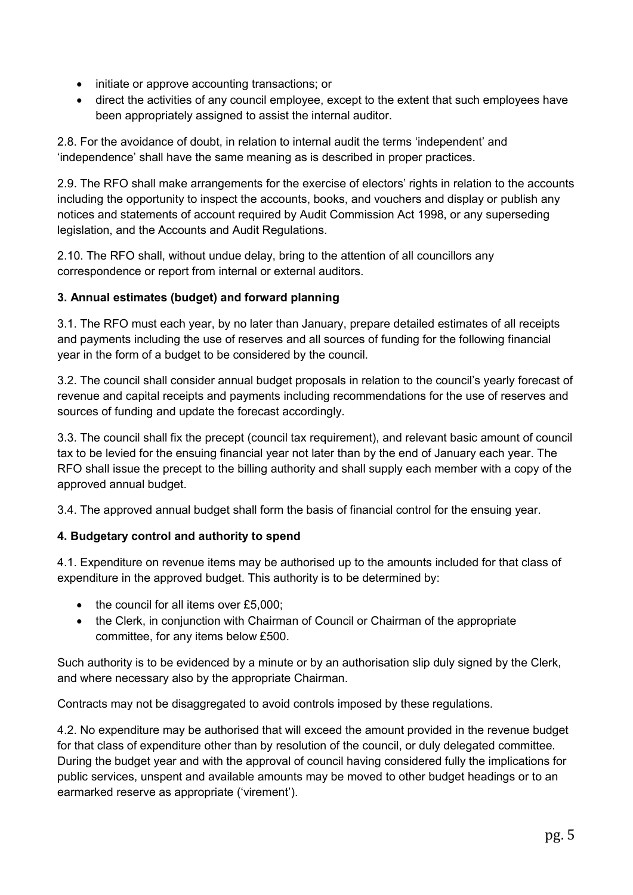- initiate or approve accounting transactions; or
- direct the activities of any council employee, except to the extent that such employees have been appropriately assigned to assist the internal auditor.

2.8. For the avoidance of doubt, in relation to internal audit the terms 'independent' and 'independence' shall have the same meaning as is described in proper practices.

2.9. The RFO shall make arrangements for the exercise of electors' rights in relation to the accounts including the opportunity to inspect the accounts, books, and vouchers and display or publish any notices and statements of account required by Audit Commission Act 1998, or any superseding legislation, and the Accounts and Audit Regulations.

2.10. The RFO shall, without undue delay, bring to the attention of all councillors any correspondence or report from internal or external auditors.

## 3. Annual estimates (budget) and forward planning

3.1. The RFO must each year, by no later than January, prepare detailed estimates of all receipts and payments including the use of reserves and all sources of funding for the following financial year in the form of a budget to be considered by the council.

3.2. The council shall consider annual budget proposals in relation to the council's yearly forecast of revenue and capital receipts and payments including recommendations for the use of reserves and sources of funding and update the forecast accordingly.

3.3. The council shall fix the precept (council tax requirement), and relevant basic amount of council tax to be levied for the ensuing financial year not later than by the end of January each year. The RFO shall issue the precept to the billing authority and shall supply each member with a copy of the approved annual budget.

3.4. The approved annual budget shall form the basis of financial control for the ensuing year.

## 4. Budgetary control and authority to spend

4.1. Expenditure on revenue items may be authorised up to the amounts included for that class of expenditure in the approved budget. This authority is to be determined by:

- $\bullet$  the council for all items over £5,000;
- the Clerk, in conjunction with Chairman of Council or Chairman of the appropriate committee, for any items below £500.

Such authority is to be evidenced by a minute or by an authorisation slip duly signed by the Clerk, and where necessary also by the appropriate Chairman.

Contracts may not be disaggregated to avoid controls imposed by these regulations.

4.2. No expenditure may be authorised that will exceed the amount provided in the revenue budget for that class of expenditure other than by resolution of the council, or duly delegated committee. During the budget year and with the approval of council having considered fully the implications for public services, unspent and available amounts may be moved to other budget headings or to an earmarked reserve as appropriate ('virement').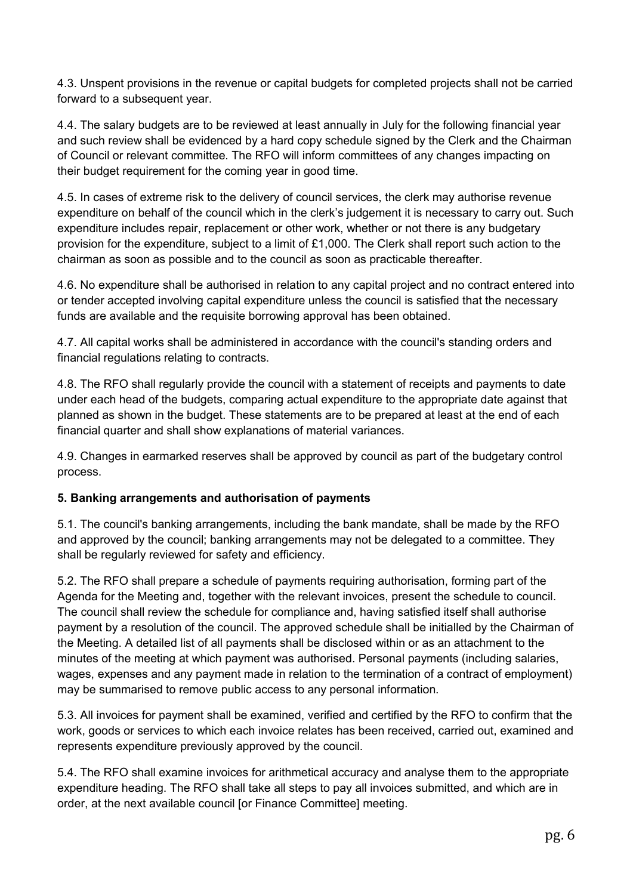4.3. Unspent provisions in the revenue or capital budgets for completed projects shall not be carried forward to a subsequent year.

4.4. The salary budgets are to be reviewed at least annually in July for the following financial year and such review shall be evidenced by a hard copy schedule signed by the Clerk and the Chairman of Council or relevant committee. The RFO will inform committees of any changes impacting on their budget requirement for the coming year in good time.

4.5. In cases of extreme risk to the delivery of council services, the clerk may authorise revenue expenditure on behalf of the council which in the clerk's judgement it is necessary to carry out. Such expenditure includes repair, replacement or other work, whether or not there is any budgetary provision for the expenditure, subject to a limit of £1,000. The Clerk shall report such action to the chairman as soon as possible and to the council as soon as practicable thereafter.

4.6. No expenditure shall be authorised in relation to any capital project and no contract entered into or tender accepted involving capital expenditure unless the council is satisfied that the necessary funds are available and the requisite borrowing approval has been obtained.

4.7. All capital works shall be administered in accordance with the council's standing orders and financial regulations relating to contracts.

4.8. The RFO shall regularly provide the council with a statement of receipts and payments to date under each head of the budgets, comparing actual expenditure to the appropriate date against that planned as shown in the budget. These statements are to be prepared at least at the end of each financial quarter and shall show explanations of material variances.

4.9. Changes in earmarked reserves shall be approved by council as part of the budgetary control process.

## 5. Banking arrangements and authorisation of payments

5.1. The council's banking arrangements, including the bank mandate, shall be made by the RFO and approved by the council; banking arrangements may not be delegated to a committee. They shall be regularly reviewed for safety and efficiency.

5.2. The RFO shall prepare a schedule of payments requiring authorisation, forming part of the Agenda for the Meeting and, together with the relevant invoices, present the schedule to council. The council shall review the schedule for compliance and, having satisfied itself shall authorise payment by a resolution of the council. The approved schedule shall be initialled by the Chairman of the Meeting. A detailed list of all payments shall be disclosed within or as an attachment to the minutes of the meeting at which payment was authorised. Personal payments (including salaries, wages, expenses and any payment made in relation to the termination of a contract of employment) may be summarised to remove public access to any personal information.

5.3. All invoices for payment shall be examined, verified and certified by the RFO to confirm that the work, goods or services to which each invoice relates has been received, carried out, examined and represents expenditure previously approved by the council.

5.4. The RFO shall examine invoices for arithmetical accuracy and analyse them to the appropriate expenditure heading. The RFO shall take all steps to pay all invoices submitted, and which are in order, at the next available council [or Finance Committee] meeting.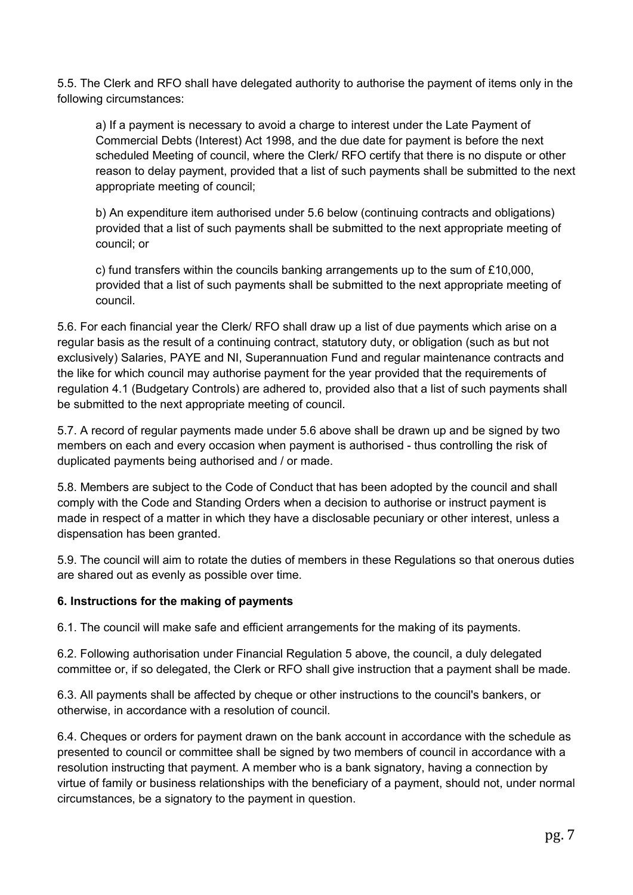5.5. The Clerk and RFO shall have delegated authority to authorise the payment of items only in the following circumstances:

a) If a payment is necessary to avoid a charge to interest under the Late Payment of Commercial Debts (Interest) Act 1998, and the due date for payment is before the next scheduled Meeting of council, where the Clerk/ RFO certify that there is no dispute or other reason to delay payment, provided that a list of such payments shall be submitted to the next appropriate meeting of council;

b) An expenditure item authorised under 5.6 below (continuing contracts and obligations) provided that a list of such payments shall be submitted to the next appropriate meeting of council; or

c) fund transfers within the councils banking arrangements up to the sum of £10,000, provided that a list of such payments shall be submitted to the next appropriate meeting of council.

5.6. For each financial year the Clerk/ RFO shall draw up a list of due payments which arise on a regular basis as the result of a continuing contract, statutory duty, or obligation (such as but not exclusively) Salaries, PAYE and NI, Superannuation Fund and regular maintenance contracts and the like for which council may authorise payment for the year provided that the requirements of regulation 4.1 (Budgetary Controls) are adhered to, provided also that a list of such payments shall be submitted to the next appropriate meeting of council.

5.7. A record of regular payments made under 5.6 above shall be drawn up and be signed by two members on each and every occasion when payment is authorised - thus controlling the risk of duplicated payments being authorised and / or made.

5.8. Members are subject to the Code of Conduct that has been adopted by the council and shall comply with the Code and Standing Orders when a decision to authorise or instruct payment is made in respect of a matter in which they have a disclosable pecuniary or other interest, unless a dispensation has been granted.

5.9. The council will aim to rotate the duties of members in these Regulations so that onerous duties are shared out as evenly as possible over time.

## 6. Instructions for the making of payments

6.1. The council will make safe and efficient arrangements for the making of its payments.

6.2. Following authorisation under Financial Regulation 5 above, the council, a duly delegated committee or, if so delegated, the Clerk or RFO shall give instruction that a payment shall be made.

6.3. All payments shall be affected by cheque or other instructions to the council's bankers, or otherwise, in accordance with a resolution of council.

6.4. Cheques or orders for payment drawn on the bank account in accordance with the schedule as presented to council or committee shall be signed by two members of council in accordance with a resolution instructing that payment. A member who is a bank signatory, having a connection by virtue of family or business relationships with the beneficiary of a payment, should not, under normal circumstances, be a signatory to the payment in question.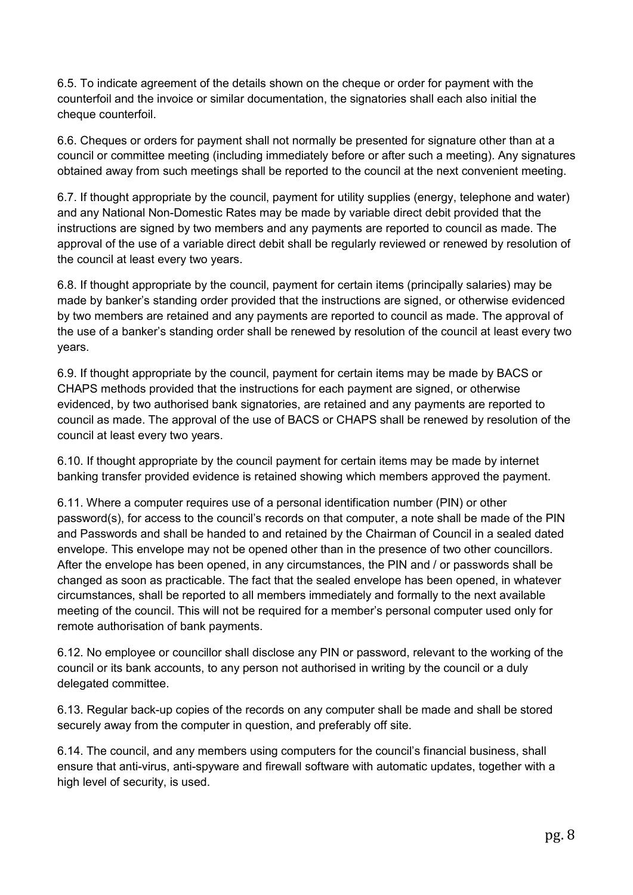6.5. To indicate agreement of the details shown on the cheque or order for payment with the counterfoil and the invoice or similar documentation, the signatories shall each also initial the cheque counterfoil.

6.6. Cheques or orders for payment shall not normally be presented for signature other than at a council or committee meeting (including immediately before or after such a meeting). Any signatures obtained away from such meetings shall be reported to the council at the next convenient meeting.

6.7. If thought appropriate by the council, payment for utility supplies (energy, telephone and water) and any National Non-Domestic Rates may be made by variable direct debit provided that the instructions are signed by two members and any payments are reported to council as made. The approval of the use of a variable direct debit shall be regularly reviewed or renewed by resolution of the council at least every two years.

6.8. If thought appropriate by the council, payment for certain items (principally salaries) may be made by banker's standing order provided that the instructions are signed, or otherwise evidenced by two members are retained and any payments are reported to council as made. The approval of the use of a banker's standing order shall be renewed by resolution of the council at least every two years.

6.9. If thought appropriate by the council, payment for certain items may be made by BACS or CHAPS methods provided that the instructions for each payment are signed, or otherwise evidenced, by two authorised bank signatories, are retained and any payments are reported to council as made. The approval of the use of BACS or CHAPS shall be renewed by resolution of the council at least every two years.

6.10. If thought appropriate by the council payment for certain items may be made by internet banking transfer provided evidence is retained showing which members approved the payment.

6.11. Where a computer requires use of a personal identification number (PIN) or other password(s), for access to the council's records on that computer, a note shall be made of the PIN and Passwords and shall be handed to and retained by the Chairman of Council in a sealed dated envelope. This envelope may not be opened other than in the presence of two other councillors. After the envelope has been opened, in any circumstances, the PIN and / or passwords shall be changed as soon as practicable. The fact that the sealed envelope has been opened, in whatever circumstances, shall be reported to all members immediately and formally to the next available meeting of the council. This will not be required for a member's personal computer used only for remote authorisation of bank payments.

6.12. No employee or councillor shall disclose any PIN or password, relevant to the working of the council or its bank accounts, to any person not authorised in writing by the council or a duly delegated committee.

6.13. Regular back-up copies of the records on any computer shall be made and shall be stored securely away from the computer in question, and preferably off site.

6.14. The council, and any members using computers for the council's financial business, shall ensure that anti-virus, anti-spyware and firewall software with automatic updates, together with a high level of security, is used.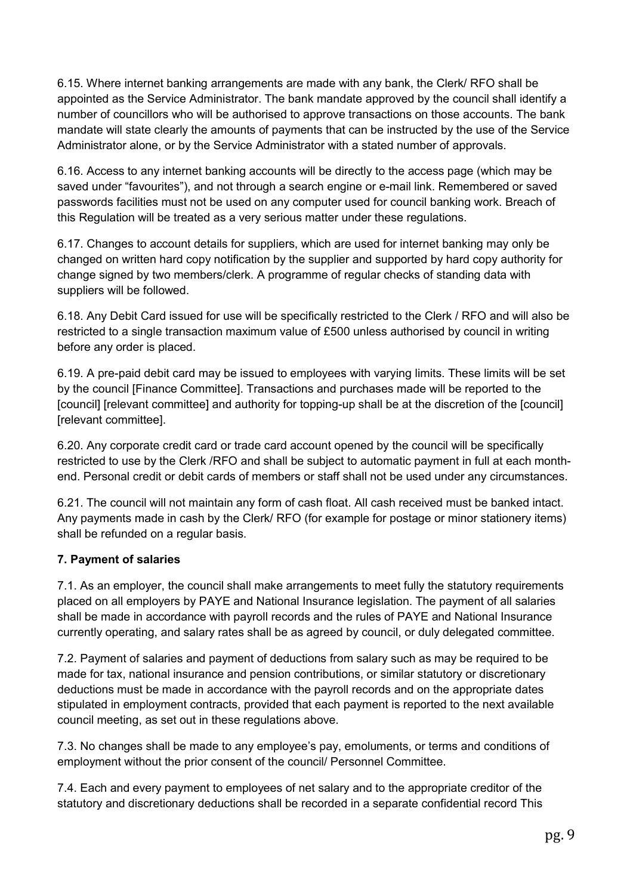6.15. Where internet banking arrangements are made with any bank, the Clerk/ RFO shall be appointed as the Service Administrator. The bank mandate approved by the council shall identify a number of councillors who will be authorised to approve transactions on those accounts. The bank mandate will state clearly the amounts of payments that can be instructed by the use of the Service Administrator alone, or by the Service Administrator with a stated number of approvals.

6.16. Access to any internet banking accounts will be directly to the access page (which may be saved under "favourites"), and not through a search engine or e-mail link. Remembered or saved passwords facilities must not be used on any computer used for council banking work. Breach of this Regulation will be treated as a very serious matter under these regulations.

6.17. Changes to account details for suppliers, which are used for internet banking may only be changed on written hard copy notification by the supplier and supported by hard copy authority for change signed by two members/clerk. A programme of regular checks of standing data with suppliers will be followed.

6.18. Any Debit Card issued for use will be specifically restricted to the Clerk / RFO and will also be restricted to a single transaction maximum value of £500 unless authorised by council in writing before any order is placed.

6.19. A pre-paid debit card may be issued to employees with varying limits. These limits will be set by the council [Finance Committee]. Transactions and purchases made will be reported to the [council] [relevant committee] and authority for topping-up shall be at the discretion of the [council] [relevant committee].

6.20. Any corporate credit card or trade card account opened by the council will be specifically restricted to use by the Clerk /RFO and shall be subject to automatic payment in full at each monthend. Personal credit or debit cards of members or staff shall not be used under any circumstances.

6.21. The council will not maintain any form of cash float. All cash received must be banked intact. Any payments made in cash by the Clerk/ RFO (for example for postage or minor stationery items) shall be refunded on a regular basis.

## 7. Payment of salaries

7.1. As an employer, the council shall make arrangements to meet fully the statutory requirements placed on all employers by PAYE and National Insurance legislation. The payment of all salaries shall be made in accordance with payroll records and the rules of PAYE and National Insurance currently operating, and salary rates shall be as agreed by council, or duly delegated committee.

7.2. Payment of salaries and payment of deductions from salary such as may be required to be made for tax, national insurance and pension contributions, or similar statutory or discretionary deductions must be made in accordance with the payroll records and on the appropriate dates stipulated in employment contracts, provided that each payment is reported to the next available council meeting, as set out in these regulations above.

7.3. No changes shall be made to any employee's pay, emoluments, or terms and conditions of employment without the prior consent of the council/ Personnel Committee.

7.4. Each and every payment to employees of net salary and to the appropriate creditor of the statutory and discretionary deductions shall be recorded in a separate confidential record This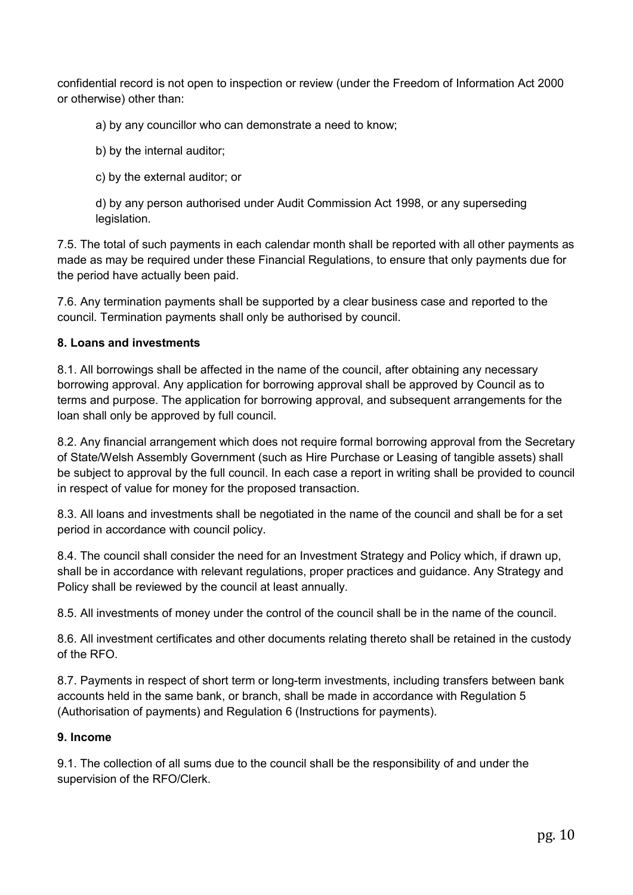confidential record is not open to inspection or review (under the Freedom of Information Act 2000 or otherwise) other than:

a) by any councillor who can demonstrate a need to know;

b) by the internal auditor;

c) by the external auditor; or

d) by any person authorised under Audit Commission Act 1998, or any superseding legislation.

7.5. The total of such payments in each calendar month shall be reported with all other payments as made as may be required under these Financial Regulations, to ensure that only payments due for the period have actually been paid.

7.6. Any termination payments shall be supported by a clear business case and reported to the council. Termination payments shall only be authorised by council.

#### 8. Loans and investments

8.1. All borrowings shall be affected in the name of the council, after obtaining any necessary borrowing approval. Any application for borrowing approval shall be approved by Council as to terms and purpose. The application for borrowing approval, and subsequent arrangements for the loan shall only be approved by full council.

8.2. Any financial arrangement which does not require formal borrowing approval from the Secretary of State/Welsh Assembly Government (such as Hire Purchase or Leasing of tangible assets) shall be subject to approval by the full council. In each case a report in writing shall be provided to council in respect of value for money for the proposed transaction.

8.3. All loans and investments shall be negotiated in the name of the council and shall be for a set period in accordance with council policy.

8.4. The council shall consider the need for an Investment Strategy and Policy which, if drawn up, shall be in accordance with relevant regulations, proper practices and guidance. Any Strategy and Policy shall be reviewed by the council at least annually.

8.5. All investments of money under the control of the council shall be in the name of the council.

8.6. All investment certificates and other documents relating thereto shall be retained in the custody of the RFO.

8.7. Payments in respect of short term or long-term investments, including transfers between bank accounts held in the same bank, or branch, shall be made in accordance with Regulation 5 (Authorisation of payments) and Regulation 6 (Instructions for payments).

#### 9. Income

9.1. The collection of all sums due to the council shall be the responsibility of and under the supervision of the RFO/Clerk.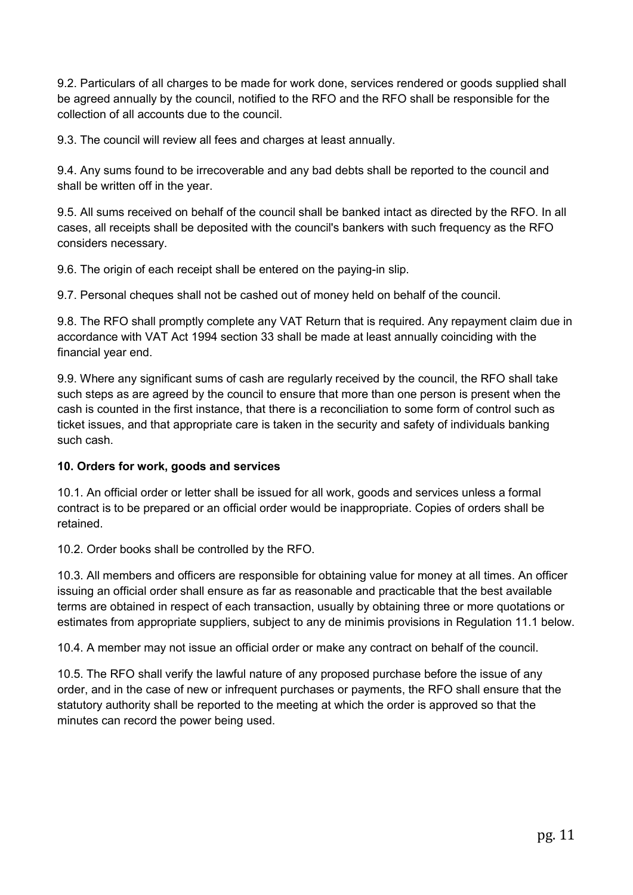9.2. Particulars of all charges to be made for work done, services rendered or goods supplied shall be agreed annually by the council, notified to the RFO and the RFO shall be responsible for the collection of all accounts due to the council.

9.3. The council will review all fees and charges at least annually.

9.4. Any sums found to be irrecoverable and any bad debts shall be reported to the council and shall be written off in the year.

9.5. All sums received on behalf of the council shall be banked intact as directed by the RFO. In all cases, all receipts shall be deposited with the council's bankers with such frequency as the RFO considers necessary.

9.6. The origin of each receipt shall be entered on the paying-in slip.

9.7. Personal cheques shall not be cashed out of money held on behalf of the council.

9.8. The RFO shall promptly complete any VAT Return that is required. Any repayment claim due in accordance with VAT Act 1994 section 33 shall be made at least annually coinciding with the financial year end.

9.9. Where any significant sums of cash are regularly received by the council, the RFO shall take such steps as are agreed by the council to ensure that more than one person is present when the cash is counted in the first instance, that there is a reconciliation to some form of control such as ticket issues, and that appropriate care is taken in the security and safety of individuals banking such cash.

## 10. Orders for work, goods and services

10.1. An official order or letter shall be issued for all work, goods and services unless a formal contract is to be prepared or an official order would be inappropriate. Copies of orders shall be retained.

10.2. Order books shall be controlled by the RFO.

10.3. All members and officers are responsible for obtaining value for money at all times. An officer issuing an official order shall ensure as far as reasonable and practicable that the best available terms are obtained in respect of each transaction, usually by obtaining three or more quotations or estimates from appropriate suppliers, subject to any de minimis provisions in Regulation 11.1 below.

10.4. A member may not issue an official order or make any contract on behalf of the council.

10.5. The RFO shall verify the lawful nature of any proposed purchase before the issue of any order, and in the case of new or infrequent purchases or payments, the RFO shall ensure that the statutory authority shall be reported to the meeting at which the order is approved so that the minutes can record the power being used.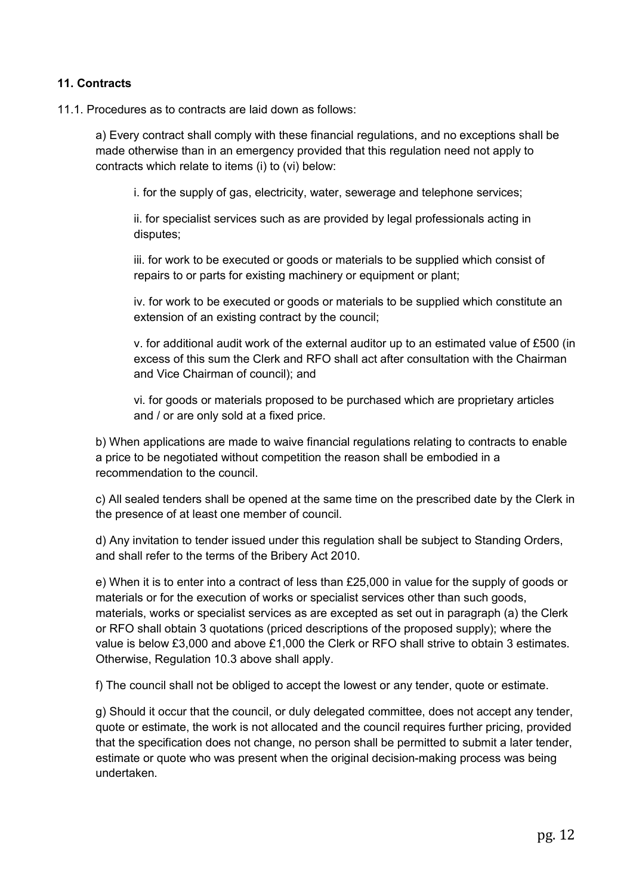## 11. Contracts

#### 11.1. Procedures as to contracts are laid down as follows:

a) Every contract shall comply with these financial regulations, and no exceptions shall be made otherwise than in an emergency provided that this regulation need not apply to contracts which relate to items (i) to (vi) below:

i. for the supply of gas, electricity, water, sewerage and telephone services;

ii. for specialist services such as are provided by legal professionals acting in disputes;

iii. for work to be executed or goods or materials to be supplied which consist of repairs to or parts for existing machinery or equipment or plant;

iv. for work to be executed or goods or materials to be supplied which constitute an extension of an existing contract by the council;

v. for additional audit work of the external auditor up to an estimated value of £500 (in excess of this sum the Clerk and RFO shall act after consultation with the Chairman and Vice Chairman of council); and

vi. for goods or materials proposed to be purchased which are proprietary articles and / or are only sold at a fixed price.

b) When applications are made to waive financial regulations relating to contracts to enable a price to be negotiated without competition the reason shall be embodied in a recommendation to the council.

c) All sealed tenders shall be opened at the same time on the prescribed date by the Clerk in the presence of at least one member of council.

d) Any invitation to tender issued under this regulation shall be subject to Standing Orders, and shall refer to the terms of the Bribery Act 2010.

e) When it is to enter into a contract of less than £25,000 in value for the supply of goods or materials or for the execution of works or specialist services other than such goods, materials, works or specialist services as are excepted as set out in paragraph (a) the Clerk or RFO shall obtain 3 quotations (priced descriptions of the proposed supply); where the value is below £3,000 and above £1,000 the Clerk or RFO shall strive to obtain 3 estimates. Otherwise, Regulation 10.3 above shall apply.

f) The council shall not be obliged to accept the lowest or any tender, quote or estimate.

g) Should it occur that the council, or duly delegated committee, does not accept any tender, quote or estimate, the work is not allocated and the council requires further pricing, provided that the specification does not change, no person shall be permitted to submit a later tender, estimate or quote who was present when the original decision-making process was being undertaken.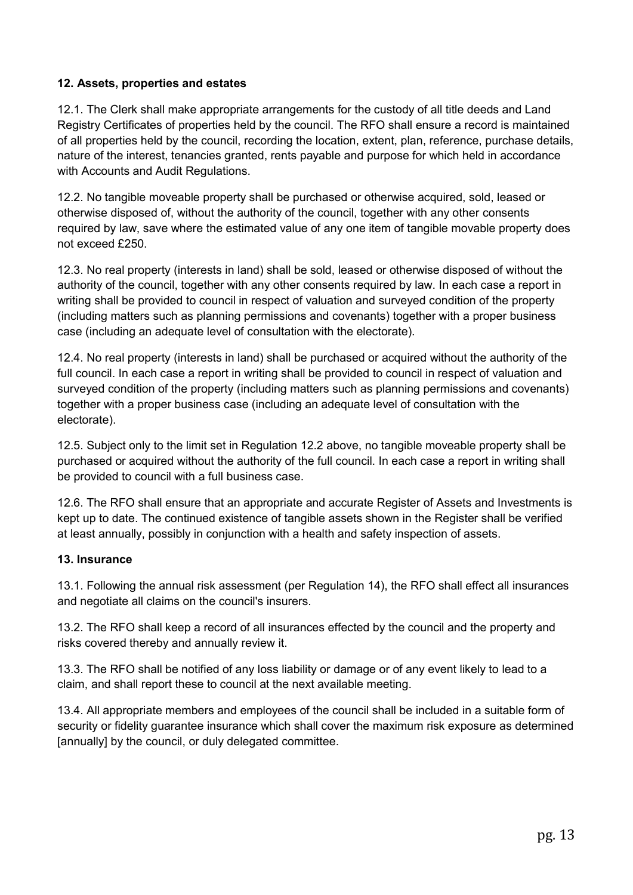## 12. Assets, properties and estates

12.1. The Clerk shall make appropriate arrangements for the custody of all title deeds and Land Registry Certificates of properties held by the council. The RFO shall ensure a record is maintained of all properties held by the council, recording the location, extent, plan, reference, purchase details, nature of the interest, tenancies granted, rents payable and purpose for which held in accordance with Accounts and Audit Regulations.

12.2. No tangible moveable property shall be purchased or otherwise acquired, sold, leased or otherwise disposed of, without the authority of the council, together with any other consents required by law, save where the estimated value of any one item of tangible movable property does not exceed £250.

12.3. No real property (interests in land) shall be sold, leased or otherwise disposed of without the authority of the council, together with any other consents required by law. In each case a report in writing shall be provided to council in respect of valuation and surveyed condition of the property (including matters such as planning permissions and covenants) together with a proper business case (including an adequate level of consultation with the electorate).

12.4. No real property (interests in land) shall be purchased or acquired without the authority of the full council. In each case a report in writing shall be provided to council in respect of valuation and surveyed condition of the property (including matters such as planning permissions and covenants) together with a proper business case (including an adequate level of consultation with the electorate).

12.5. Subject only to the limit set in Regulation 12.2 above, no tangible moveable property shall be purchased or acquired without the authority of the full council. In each case a report in writing shall be provided to council with a full business case.

12.6. The RFO shall ensure that an appropriate and accurate Register of Assets and Investments is kept up to date. The continued existence of tangible assets shown in the Register shall be verified at least annually, possibly in conjunction with a health and safety inspection of assets.

#### 13. Insurance

13.1. Following the annual risk assessment (per Regulation 14), the RFO shall effect all insurances and negotiate all claims on the council's insurers.

13.2. The RFO shall keep a record of all insurances effected by the council and the property and risks covered thereby and annually review it.

13.3. The RFO shall be notified of any loss liability or damage or of any event likely to lead to a claim, and shall report these to council at the next available meeting.

13.4. All appropriate members and employees of the council shall be included in a suitable form of security or fidelity guarantee insurance which shall cover the maximum risk exposure as determined [annually] by the council, or duly delegated committee.